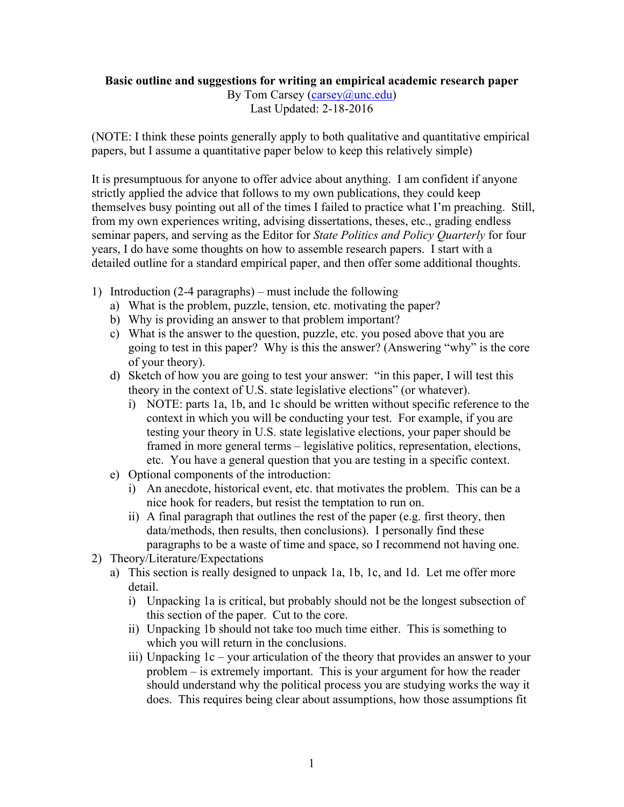## **Basic outline and suggestions for writing an empirical academic research paper**

By Tom Carsey (carsey @unc.edu) Last Updated: 2-18-2016

(NOTE: I think these points generally apply to both qualitative and quantitative empirical papers, but I assume a quantitative paper below to keep this relatively simple)

It is presumptuous for anyone to offer advice about anything. I am confident if anyone strictly applied the advice that follows to my own publications, they could keep themselves busy pointing out all of the times I failed to practice what I'm preaching. Still, from my own experiences writing, advising dissertations, theses, etc., grading endless seminar papers, and serving as the Editor for *State Politics and Policy Quarterly* for four years, I do have some thoughts on how to assemble research papers. I start with a detailed outline for a standard empirical paper, and then offer some additional thoughts.

- 1) Introduction (2-4 paragraphs) must include the following
	- a) What is the problem, puzzle, tension, etc. motivating the paper?
	- b) Why is providing an answer to that problem important?
	- c) What is the answer to the question, puzzle, etc. you posed above that you are going to test in this paper? Why is this the answer? (Answering "why" is the core of your theory).
	- d) Sketch of how you are going to test your answer: "in this paper, I will test this theory in the context of U.S. state legislative elections" (or whatever).
		- i) NOTE: parts 1a, 1b, and 1c should be written without specific reference to the context in which you will be conducting your test. For example, if you are testing your theory in U.S. state legislative elections, your paper should be framed in more general terms – legislative politics, representation, elections, etc. You have a general question that you are testing in a specific context.
	- e) Optional components of the introduction:
		- i) An anecdote, historical event, etc. that motivates the problem. This can be a nice hook for readers, but resist the temptation to run on.
		- ii) A final paragraph that outlines the rest of the paper (e.g. first theory, then data/methods, then results, then conclusions). I personally find these paragraphs to be a waste of time and space, so I recommend not having one.
- 2) Theory/Literature/Expectations
	- a) This section is really designed to unpack 1a, 1b, 1c, and 1d. Let me offer more detail.
		- i) Unpacking 1a is critical, but probably should not be the longest subsection of this section of the paper. Cut to the core.
		- ii) Unpacking 1b should not take too much time either. This is something to which you will return in the conclusions.
		- iii) Unpacking 1c your articulation of the theory that provides an answer to your problem – is extremely important. This is your argument for how the reader should understand why the political process you are studying works the way it does. This requires being clear about assumptions, how those assumptions fit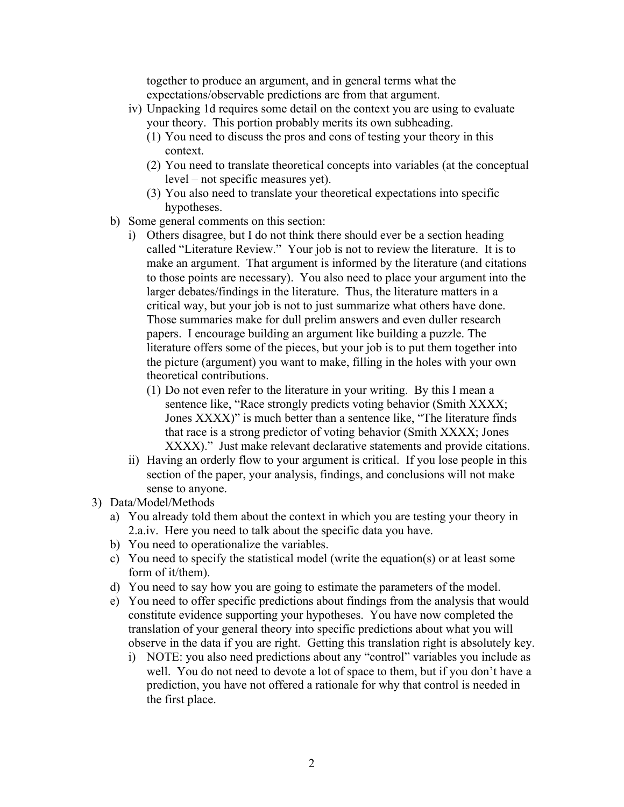together to produce an argument, and in general terms what the expectations/observable predictions are from that argument.

- iv) Unpacking 1d requires some detail on the context you are using to evaluate your theory. This portion probably merits its own subheading.
	- (1) You need to discuss the pros and cons of testing your theory in this context.
	- (2) You need to translate theoretical concepts into variables (at the conceptual level – not specific measures yet).
	- (3) You also need to translate your theoretical expectations into specific hypotheses.
- b) Some general comments on this section:
	- i) Others disagree, but I do not think there should ever be a section heading called "Literature Review." Your job is not to review the literature. It is to make an argument. That argument is informed by the literature (and citations to those points are necessary). You also need to place your argument into the larger debates/findings in the literature. Thus, the literature matters in a critical way, but your job is not to just summarize what others have done. Those summaries make for dull prelim answers and even duller research papers. I encourage building an argument like building a puzzle. The literature offers some of the pieces, but your job is to put them together into the picture (argument) you want to make, filling in the holes with your own theoretical contributions.
		- (1) Do not even refer to the literature in your writing. By this I mean a sentence like, "Race strongly predicts voting behavior (Smith XXXX; Jones XXXX)" is much better than a sentence like, "The literature finds that race is a strong predictor of voting behavior (Smith XXXX; Jones XXXX)." Just make relevant declarative statements and provide citations.
	- ii) Having an orderly flow to your argument is critical. If you lose people in this section of the paper, your analysis, findings, and conclusions will not make sense to anyone.
- 3) Data/Model/Methods
	- a) You already told them about the context in which you are testing your theory in 2.a.iv. Here you need to talk about the specific data you have.
	- b) You need to operationalize the variables.
	- c) You need to specify the statistical model (write the equation(s) or at least some form of it/them).
	- d) You need to say how you are going to estimate the parameters of the model.
	- e) You need to offer specific predictions about findings from the analysis that would constitute evidence supporting your hypotheses. You have now completed the translation of your general theory into specific predictions about what you will observe in the data if you are right. Getting this translation right is absolutely key.
		- i) NOTE: you also need predictions about any "control" variables you include as well. You do not need to devote a lot of space to them, but if you don't have a prediction, you have not offered a rationale for why that control is needed in the first place.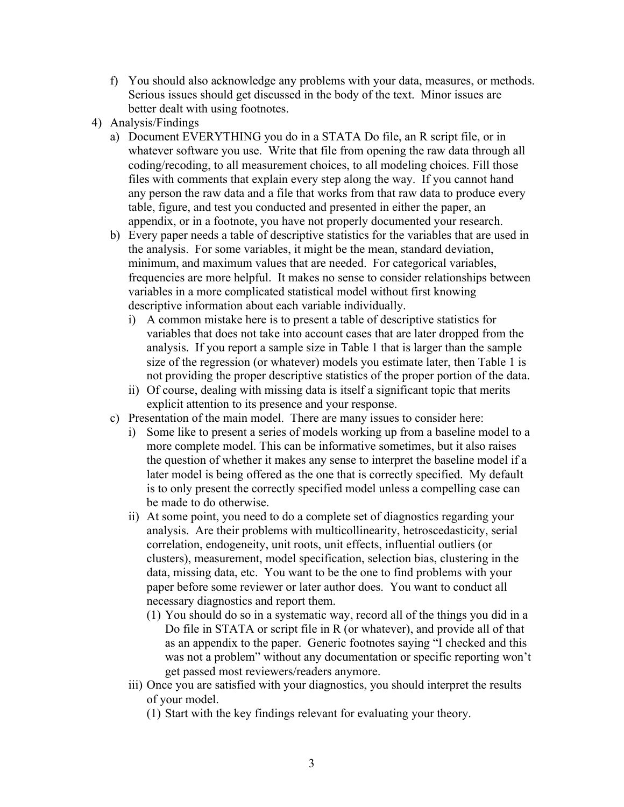- f) You should also acknowledge any problems with your data, measures, or methods. Serious issues should get discussed in the body of the text. Minor issues are better dealt with using footnotes.
- 4) Analysis/Findings
	- a) Document EVERYTHING you do in a STATA Do file, an R script file, or in whatever software you use. Write that file from opening the raw data through all coding/recoding, to all measurement choices, to all modeling choices. Fill those files with comments that explain every step along the way. If you cannot hand any person the raw data and a file that works from that raw data to produce every table, figure, and test you conducted and presented in either the paper, an appendix, or in a footnote, you have not properly documented your research.
	- b) Every paper needs a table of descriptive statistics for the variables that are used in the analysis. For some variables, it might be the mean, standard deviation, minimum, and maximum values that are needed. For categorical variables, frequencies are more helpful. It makes no sense to consider relationships between variables in a more complicated statistical model without first knowing descriptive information about each variable individually.
		- i) A common mistake here is to present a table of descriptive statistics for variables that does not take into account cases that are later dropped from the analysis. If you report a sample size in Table 1 that is larger than the sample size of the regression (or whatever) models you estimate later, then Table 1 is not providing the proper descriptive statistics of the proper portion of the data.
		- ii) Of course, dealing with missing data is itself a significant topic that merits explicit attention to its presence and your response.
	- c) Presentation of the main model. There are many issues to consider here:
		- i) Some like to present a series of models working up from a baseline model to a more complete model. This can be informative sometimes, but it also raises the question of whether it makes any sense to interpret the baseline model if a later model is being offered as the one that is correctly specified. My default is to only present the correctly specified model unless a compelling case can be made to do otherwise.
		- ii) At some point, you need to do a complete set of diagnostics regarding your analysis. Are their problems with multicollinearity, hetroscedasticity, serial correlation, endogeneity, unit roots, unit effects, influential outliers (or clusters), measurement, model specification, selection bias, clustering in the data, missing data, etc. You want to be the one to find problems with your paper before some reviewer or later author does. You want to conduct all necessary diagnostics and report them.
			- (1) You should do so in a systematic way, record all of the things you did in a Do file in STATA or script file in R (or whatever), and provide all of that as an appendix to the paper. Generic footnotes saying "I checked and this was not a problem" without any documentation or specific reporting won't get passed most reviewers/readers anymore.
		- iii) Once you are satisfied with your diagnostics, you should interpret the results of your model.
			- (1) Start with the key findings relevant for evaluating your theory.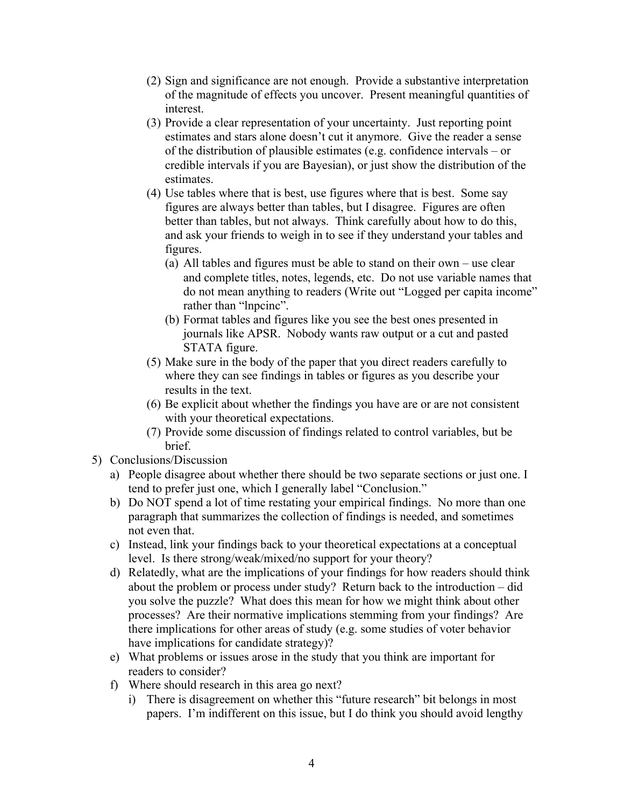- (2) Sign and significance are not enough. Provide a substantive interpretation of the magnitude of effects you uncover. Present meaningful quantities of interest.
- (3) Provide a clear representation of your uncertainty. Just reporting point estimates and stars alone doesn't cut it anymore. Give the reader a sense of the distribution of plausible estimates (e.g. confidence intervals – or credible intervals if you are Bayesian), or just show the distribution of the estimates.
- (4) Use tables where that is best, use figures where that is best. Some say figures are always better than tables, but I disagree. Figures are often better than tables, but not always. Think carefully about how to do this, and ask your friends to weigh in to see if they understand your tables and figures.
	- (a) All tables and figures must be able to stand on their own use clear and complete titles, notes, legends, etc. Do not use variable names that do not mean anything to readers (Write out "Logged per capita income" rather than "lnpcinc".
	- (b) Format tables and figures like you see the best ones presented in journals like APSR. Nobody wants raw output or a cut and pasted STATA figure.
- (5) Make sure in the body of the paper that you direct readers carefully to where they can see findings in tables or figures as you describe your results in the text.
- (6) Be explicit about whether the findings you have are or are not consistent with your theoretical expectations.
- (7) Provide some discussion of findings related to control variables, but be **brief**
- 5) Conclusions/Discussion
	- a) People disagree about whether there should be two separate sections or just one. I tend to prefer just one, which I generally label "Conclusion."
	- b) Do NOT spend a lot of time restating your empirical findings. No more than one paragraph that summarizes the collection of findings is needed, and sometimes not even that.
	- c) Instead, link your findings back to your theoretical expectations at a conceptual level. Is there strong/weak/mixed/no support for your theory?
	- d) Relatedly, what are the implications of your findings for how readers should think about the problem or process under study? Return back to the introduction – did you solve the puzzle? What does this mean for how we might think about other processes? Are their normative implications stemming from your findings? Are there implications for other areas of study (e.g. some studies of voter behavior have implications for candidate strategy)?
	- e) What problems or issues arose in the study that you think are important for readers to consider?
	- f) Where should research in this area go next?
		- i) There is disagreement on whether this "future research" bit belongs in most papers. I'm indifferent on this issue, but I do think you should avoid lengthy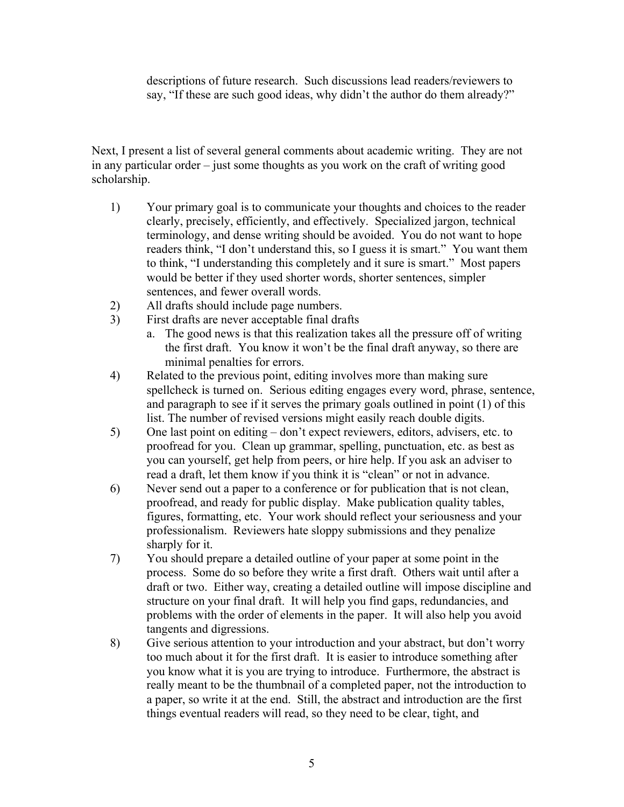descriptions of future research. Such discussions lead readers/reviewers to say, "If these are such good ideas, why didn't the author do them already?"

Next, I present a list of several general comments about academic writing. They are not in any particular order – just some thoughts as you work on the craft of writing good scholarship.

- 1) Your primary goal is to communicate your thoughts and choices to the reader clearly, precisely, efficiently, and effectively. Specialized jargon, technical terminology, and dense writing should be avoided. You do not want to hope readers think, "I don't understand this, so I guess it is smart." You want them to think, "I understanding this completely and it sure is smart." Most papers would be better if they used shorter words, shorter sentences, simpler sentences, and fewer overall words.
- 2) All drafts should include page numbers.
- 3) First drafts are never acceptable final drafts
	- a. The good news is that this realization takes all the pressure off of writing the first draft. You know it won't be the final draft anyway, so there are minimal penalties for errors.
- 4) Related to the previous point, editing involves more than making sure spellcheck is turned on. Serious editing engages every word, phrase, sentence, and paragraph to see if it serves the primary goals outlined in point (1) of this list. The number of revised versions might easily reach double digits.
- 5) One last point on editing don't expect reviewers, editors, advisers, etc. to proofread for you. Clean up grammar, spelling, punctuation, etc. as best as you can yourself, get help from peers, or hire help. If you ask an adviser to read a draft, let them know if you think it is "clean" or not in advance.
- 6) Never send out a paper to a conference or for publication that is not clean, proofread, and ready for public display. Make publication quality tables, figures, formatting, etc. Your work should reflect your seriousness and your professionalism. Reviewers hate sloppy submissions and they penalize sharply for it.
- 7) You should prepare a detailed outline of your paper at some point in the process. Some do so before they write a first draft. Others wait until after a draft or two. Either way, creating a detailed outline will impose discipline and structure on your final draft. It will help you find gaps, redundancies, and problems with the order of elements in the paper. It will also help you avoid tangents and digressions.
- 8) Give serious attention to your introduction and your abstract, but don't worry too much about it for the first draft. It is easier to introduce something after you know what it is you are trying to introduce. Furthermore, the abstract is really meant to be the thumbnail of a completed paper, not the introduction to a paper, so write it at the end. Still, the abstract and introduction are the first things eventual readers will read, so they need to be clear, tight, and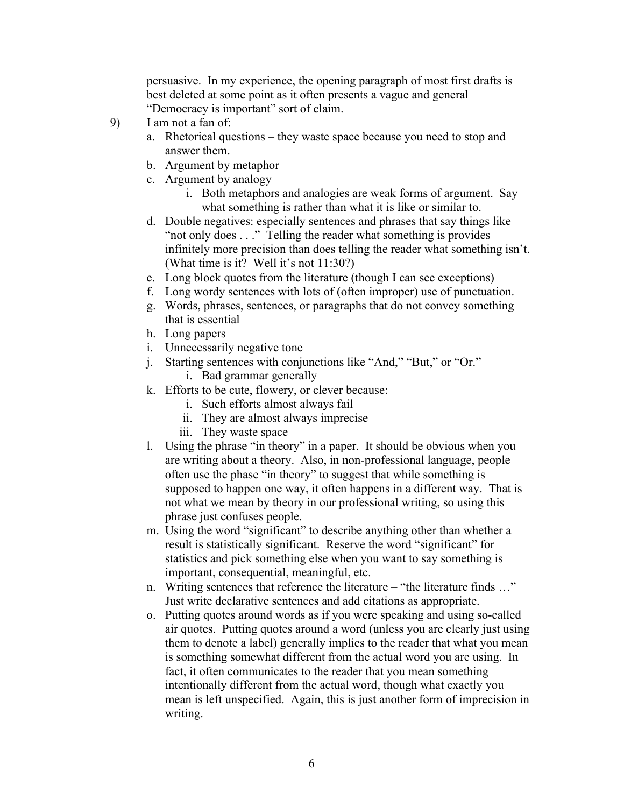persuasive. In my experience, the opening paragraph of most first drafts is best deleted at some point as it often presents a vague and general "Democracy is important" sort of claim.

- 9) I am not a fan of:
	- a. Rhetorical questions they waste space because you need to stop and answer them.
	- b. Argument by metaphor
	- c. Argument by analogy
		- i. Both metaphors and analogies are weak forms of argument. Say what something is rather than what it is like or similar to.
	- d. Double negatives: especially sentences and phrases that say things like "not only does . . ." Telling the reader what something is provides infinitely more precision than does telling the reader what something isn't. (What time is it? Well it's not 11:30?)
	- e. Long block quotes from the literature (though I can see exceptions)
	- f. Long wordy sentences with lots of (often improper) use of punctuation.
	- g. Words, phrases, sentences, or paragraphs that do not convey something that is essential
	- h. Long papers
	- i. Unnecessarily negative tone
	- j. Starting sentences with conjunctions like "And," "But," or "Or."
		- i. Bad grammar generally
	- k. Efforts to be cute, flowery, or clever because:
		- i. Such efforts almost always fail
		- ii. They are almost always imprecise
		- iii. They waste space
	- l. Using the phrase "in theory" in a paper. It should be obvious when you are writing about a theory. Also, in non-professional language, people often use the phase "in theory" to suggest that while something is supposed to happen one way, it often happens in a different way. That is not what we mean by theory in our professional writing, so using this phrase just confuses people.
	- m. Using the word "significant" to describe anything other than whether a result is statistically significant. Reserve the word "significant" for statistics and pick something else when you want to say something is important, consequential, meaningful, etc.
	- n. Writing sentences that reference the literature "the literature finds …" Just write declarative sentences and add citations as appropriate.
	- o. Putting quotes around words as if you were speaking and using so-called air quotes. Putting quotes around a word (unless you are clearly just using them to denote a label) generally implies to the reader that what you mean is something somewhat different from the actual word you are using. In fact, it often communicates to the reader that you mean something intentionally different from the actual word, though what exactly you mean is left unspecified. Again, this is just another form of imprecision in writing.